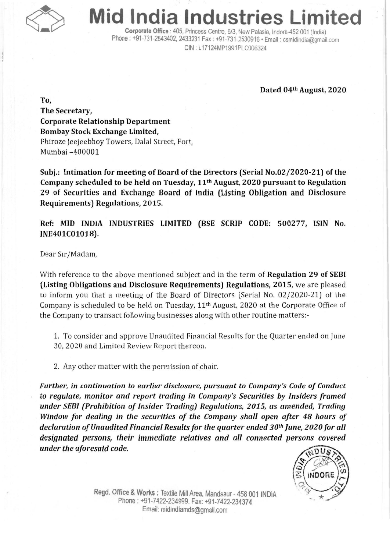

## **Mid India Industries Limited**

Corporate Office: 405, Princess Centre, *6/3,* New Palasia, Indore-452 001 (India) Phone: +91-731-2543402, 2433231 Fax: +91-731-2530916 · Email: csmidindia@gmail.com CIN : L17124MP1991PLC006324

Dated 04th August, 2020

To, The Secretary, Corporate Relationship Department Bombay Stock Exchange Limited, Phiroze [eejeebhoy Towers, Dalal Street, Fort, Mumbai -400001

Subj.: Intimation for meeting of Board of the Directors (Serial No.02/2020-21) of the Company scheduled to be held on Tuesday, 11th August, 2020 pursuant to Regulation 29 of Securities and Exchange Board of India (Listing Obligation and Disclosure Requirements) Regulations, 2015.

Ref: MID INDIA INDUSTRIES LIMITED (BSE SCRIP CODE: 500277, ISIN No. INE401C01018).

Dear Sir/Madam,

With reference to the above mentioned subject and in the term of Regulation 29 of SEBI (Listing Obligations and Disclosure Requirements) Regulations, 2015, we are pleased to inform you that a meeting of the Board of Directors (Serial No. 02/2020-21) of the Company is scheduled to be held on Tuesday, 11th August, 2020 at the Corporate Office of the Company to transact following businesses along with other routine matters:-

1. To consider and approve Unaudited Financial Results for the Quarter ended on June 30,2020 and Limited Review Report thereon.

2. Any other matter with the permission of chair.

*Further, in continuation to earlier disclosure, pursuant to Company's Codeof Conduct* to *regulate, monitor and report trading in Company's Securities by Insiders framed under SEBI (Prohibition of Insider Trading) Regulations, 2015, as amended, Trading Window for dealing in the securities of the Company shall open after* 48 *hours of declaration of Unaudited Financial Results for the quarter ended 30th June, 2020 for all designated persons, their immediate relatives and all connected persons covered under the aforesaid code,*



Regd. Office & Works: Textile Mill Area, Mandsaur - 458 001 INDIA Pnone: +91-7422-234999. Fax: +91-7422-234374 Email: midindiamds@gmail.com